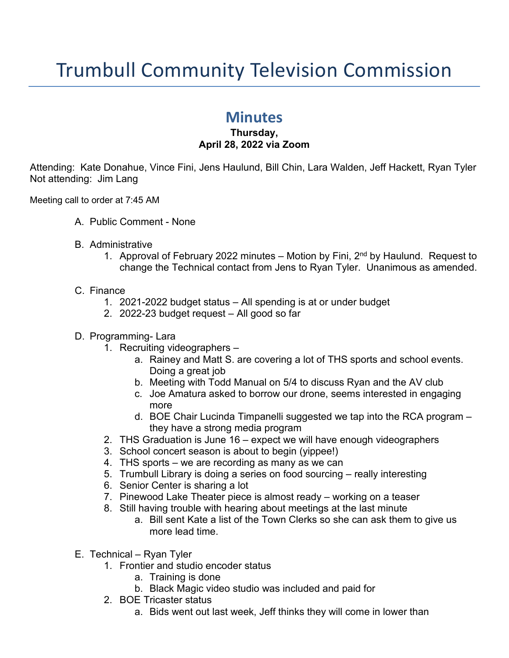# Trumbull Community Television Commission

## **Minutes**

#### **Thursday, April 28, 2022 via Zoom**

Attending: Kate Donahue, Vince Fini, Jens Haulund, Bill Chin, Lara Walden, Jeff Hackett, Ryan Tyler Not attending: Jim Lang

Meeting call to order at 7:45 AM

- A. Public Comment None
- B. Administrative
	- 1. Approval of February 2022 minutes Motion by Fini, 2<sup>nd</sup> by Haulund. Request to change the Technical contact from Jens to Ryan Tyler. Unanimous as amended.

### C. Finance

- 1. 2021-2022 budget status All spending is at or under budget
- 2. 2022-23 budget request All good so far

#### D. Programming- Lara

- 1. Recruiting videographers
	- a. Rainey and Matt S. are covering a lot of THS sports and school events. Doing a great job
	- b. Meeting with Todd Manual on 5/4 to discuss Ryan and the AV club
	- c. Joe Amatura asked to borrow our drone, seems interested in engaging more
	- d. BOE Chair Lucinda Timpanelli suggested we tap into the RCA program they have a strong media program
- 2. THS Graduation is June 16 expect we will have enough videographers
- 3. School concert season is about to begin (yippee!)
- 4. THS sports we are recording as many as we can
- 5. Trumbull Library is doing a series on food sourcing really interesting
- 6. Senior Center is sharing a lot
- 7. Pinewood Lake Theater piece is almost ready working on a teaser
- 8. Still having trouble with hearing about meetings at the last minute
	- a. Bill sent Kate a list of the Town Clerks so she can ask them to give us more lead time.
- E. Technical Ryan Tyler
	- 1. Frontier and studio encoder status
		- a. Training is done
		- b. Black Magic video studio was included and paid for
	- 2. BOE Tricaster status
		- a. Bids went out last week, Jeff thinks they will come in lower than